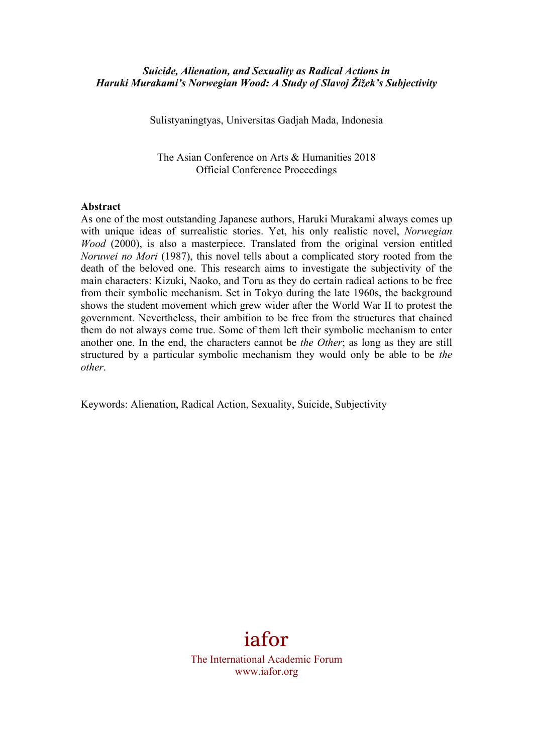### *Suicide, Alienation, and Sexuality as Radical Actions in Haruki Murakami's Norwegian Wood: A Study of Slavoj Žižek's Subjectivity*

Sulistyaningtyas, Universitas Gadjah Mada, Indonesia

The Asian Conference on Arts & Humanities 2018 Official Conference Proceedings

#### **Abstract**

As one of the most outstanding Japanese authors, Haruki Murakami always comes up with unique ideas of surrealistic stories. Yet, his only realistic novel, *Norwegian Wood* (2000), is also a masterpiece. Translated from the original version entitled *Noruwei no Mori* (1987), this novel tells about a complicated story rooted from the death of the beloved one. This research aims to investigate the subjectivity of the main characters: Kizuki, Naoko, and Toru as they do certain radical actions to be free from their symbolic mechanism. Set in Tokyo during the late 1960s, the background shows the student movement which grew wider after the World War II to protest the government. Nevertheless, their ambition to be free from the structures that chained them do not always come true. Some of them left their symbolic mechanism to enter another one. In the end, the characters cannot be *the Other*; as long as they are still structured by a particular symbolic mechanism they would only be able to be *the other*.

Keywords: Alienation, Radical Action, Sexuality, Suicide, Subjectivity



The International Academic Forum www.iafor.org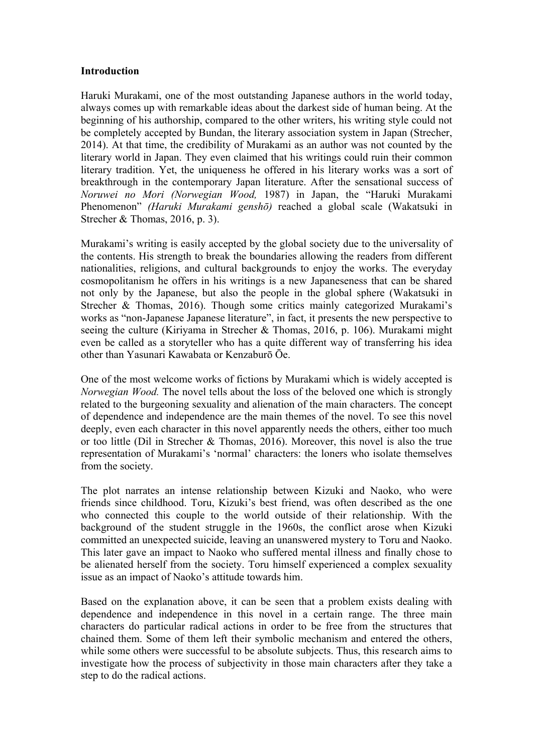### **Introduction**

Haruki Murakami, one of the most outstanding Japanese authors in the world today, always comes up with remarkable ideas about the darkest side of human being. At the beginning of his authorship, compared to the other writers, his writing style could not be completely accepted by Bundan, the literary association system in Japan (Strecher, 2014). At that time, the credibility of Murakami as an author was not counted by the literary world in Japan. They even claimed that his writings could ruin their common literary tradition. Yet, the uniqueness he offered in his literary works was a sort of breakthrough in the contemporary Japan literature. After the sensational success of *Noruwei no Mori (Norwegian Wood,* 1987) in Japan, the "Haruki Murakami Phenomenon" *(Haruki Murakami genshō)* reached a global scale (Wakatsuki in Strecher & Thomas, 2016, p. 3).

Murakami's writing is easily accepted by the global society due to the universality of the contents. His strength to break the boundaries allowing the readers from different nationalities, religions, and cultural backgrounds to enjoy the works. The everyday cosmopolitanism he offers in his writings is a new Japaneseness that can be shared not only by the Japanese, but also the people in the global sphere (Wakatsuki in Strecher & Thomas, 2016). Though some critics mainly categorized Murakami's works as "non-Japanese Japanese literature", in fact, it presents the new perspective to seeing the culture (Kiriyama in Strecher & Thomas, 2016, p. 106). Murakami might even be called as a storyteller who has a quite different way of transferring his idea other than Yasunari Kawabata or Kenzaburō Ōe.

One of the most welcome works of fictions by Murakami which is widely accepted is *Norwegian Wood.* The novel tells about the loss of the beloved one which is strongly related to the burgeoning sexuality and alienation of the main characters. The concept of dependence and independence are the main themes of the novel. To see this novel deeply, even each character in this novel apparently needs the others, either too much or too little (Dil in Strecher & Thomas, 2016). Moreover, this novel is also the true representation of Murakami's 'normal' characters: the loners who isolate themselves from the society.

The plot narrates an intense relationship between Kizuki and Naoko, who were friends since childhood. Toru, Kizuki's best friend, was often described as the one who connected this couple to the world outside of their relationship. With the background of the student struggle in the 1960s, the conflict arose when Kizuki committed an unexpected suicide, leaving an unanswered mystery to Toru and Naoko. This later gave an impact to Naoko who suffered mental illness and finally chose to be alienated herself from the society. Toru himself experienced a complex sexuality issue as an impact of Naoko's attitude towards him.

Based on the explanation above, it can be seen that a problem exists dealing with dependence and independence in this novel in a certain range. The three main characters do particular radical actions in order to be free from the structures that chained them. Some of them left their symbolic mechanism and entered the others, while some others were successful to be absolute subjects. Thus, this research aims to investigate how the process of subjectivity in those main characters after they take a step to do the radical actions.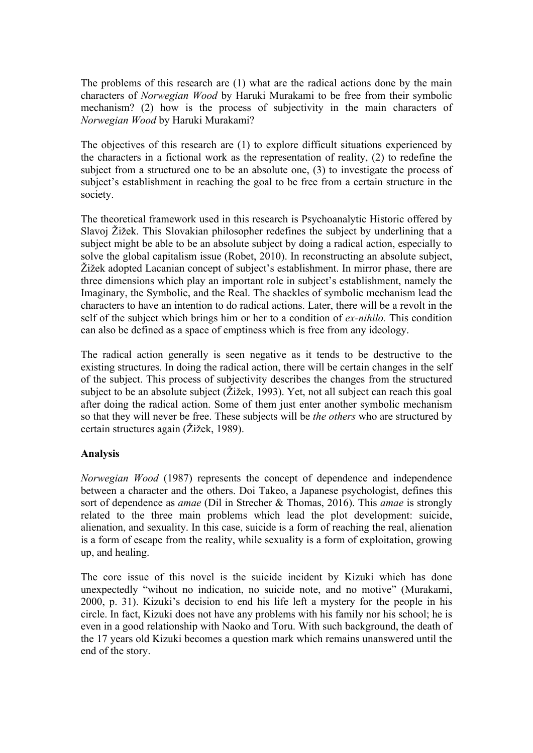The problems of this research are (1) what are the radical actions done by the main characters of *Norwegian Wood* by Haruki Murakami to be free from their symbolic mechanism? (2) how is the process of subjectivity in the main characters of *Norwegian Wood* by Haruki Murakami?

The objectives of this research are (1) to explore difficult situations experienced by the characters in a fictional work as the representation of reality, (2) to redefine the subject from a structured one to be an absolute one, (3) to investigate the process of subject's establishment in reaching the goal to be free from a certain structure in the society.

The theoretical framework used in this research is Psychoanalytic Historic offered by Slavoj Žižek. This Slovakian philosopher redefines the subject by underlining that a subject might be able to be an absolute subject by doing a radical action, especially to solve the global capitalism issue (Robet, 2010). In reconstructing an absolute subject, Žižek adopted Lacanian concept of subject's establishment. In mirror phase, there are three dimensions which play an important role in subject's establishment, namely the Imaginary, the Symbolic, and the Real. The shackles of symbolic mechanism lead the characters to have an intention to do radical actions. Later, there will be a revolt in the self of the subject which brings him or her to a condition of *ex-nihilo.* This condition can also be defined as a space of emptiness which is free from any ideology.

The radical action generally is seen negative as it tends to be destructive to the existing structures. In doing the radical action, there will be certain changes in the self of the subject. This process of subjectivity describes the changes from the structured subject to be an absolute subject (Žižek, 1993). Yet, not all subject can reach this goal after doing the radical action. Some of them just enter another symbolic mechanism so that they will never be free. These subjects will be *the others* who are structured by certain structures again (Žižek, 1989).

## **Analysis**

*Norwegian Wood* (1987) represents the concept of dependence and independence between a character and the others. Doi Takeo, a Japanese psychologist, defines this sort of dependence as *amae* (Dil in Strecher & Thomas, 2016). This *amae* is strongly related to the three main problems which lead the plot development: suicide, alienation, and sexuality. In this case, suicide is a form of reaching the real, alienation is a form of escape from the reality, while sexuality is a form of exploitation, growing up, and healing.

The core issue of this novel is the suicide incident by Kizuki which has done unexpectedly "wihout no indication, no suicide note, and no motive" (Murakami, 2000, p. 31). Kizuki's decision to end his life left a mystery for the people in his circle. In fact, Kizuki does not have any problems with his family nor his school; he is even in a good relationship with Naoko and Toru. With such background, the death of the 17 years old Kizuki becomes a question mark which remains unanswered until the end of the story.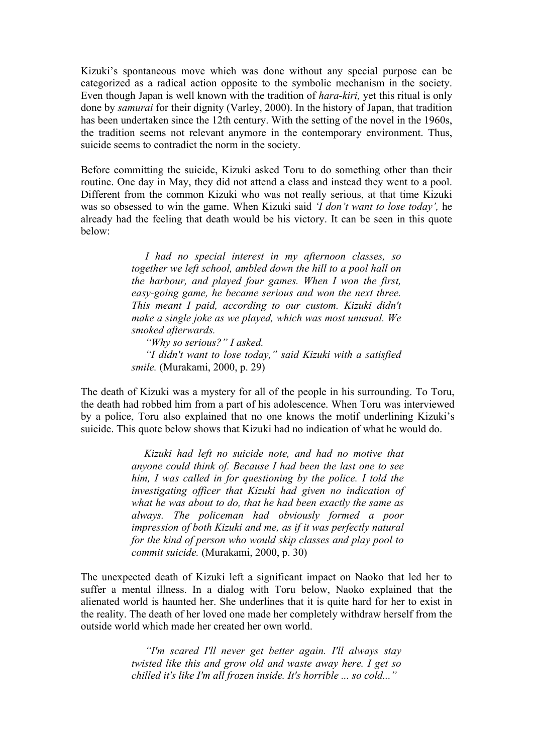Kizuki's spontaneous move which was done without any special purpose can be categorized as a radical action opposite to the symbolic mechanism in the society. Even though Japan is well known with the tradition of *hara-kiri,* yet this ritual is only done by *samurai* for their dignity (Varley, 2000). In the history of Japan, that tradition has been undertaken since the 12th century. With the setting of the novel in the 1960s, the tradition seems not relevant anymore in the contemporary environment. Thus, suicide seems to contradict the norm in the society.

Before committing the suicide, Kizuki asked Toru to do something other than their routine. One day in May, they did not attend a class and instead they went to a pool. Different from the common Kizuki who was not really serious, at that time Kizuki was so obsessed to win the game. When Kizuki said *'I don't want to lose today',* he already had the feeling that death would be his victory. It can be seen in this quote below:

> *I had no special interest in my afternoon classes, so together we left school, ambled down the hill to a pool hall on the harbour, and played four games. When I won the first, easy-going game, he became serious and won the next three. This meant I paid, according to our custom. Kizuki didn't make a single joke as we played, which was most unusual. We smoked afterwards.*

> *"Why so serious?" I asked. "I didn't want to lose today," said Kizuki with a satisfied smile.* (Murakami, 2000, p. 29)

The death of Kizuki was a mystery for all of the people in his surrounding. To Toru, the death had robbed him from a part of his adolescence. When Toru was interviewed by a police, Toru also explained that no one knows the motif underlining Kizuki's suicide. This quote below shows that Kizuki had no indication of what he would do.

> *Kizuki had left no suicide note, and had no motive that anyone could think of. Because I had been the last one to see him, I was called in for questioning by the police. I told the investigating officer that Kizuki had given no indication of what he was about to do, that he had been exactly the same as always. The policeman had obviously formed a poor impression of both Kizuki and me, as if it was perfectly natural for the kind of person who would skip classes and play pool to commit suicide.* (Murakami, 2000, p. 30)

The unexpected death of Kizuki left a significant impact on Naoko that led her to suffer a mental illness. In a dialog with Toru below, Naoko explained that the alienated world is haunted her. She underlines that it is quite hard for her to exist in the reality. The death of her loved one made her completely withdraw herself from the outside world which made her created her own world.

> *"I'm scared I'll never get better again. I'll always stay twisted like this and grow old and waste away here. I get so chilled it's like I'm all frozen inside. It's horrible ... so cold..."*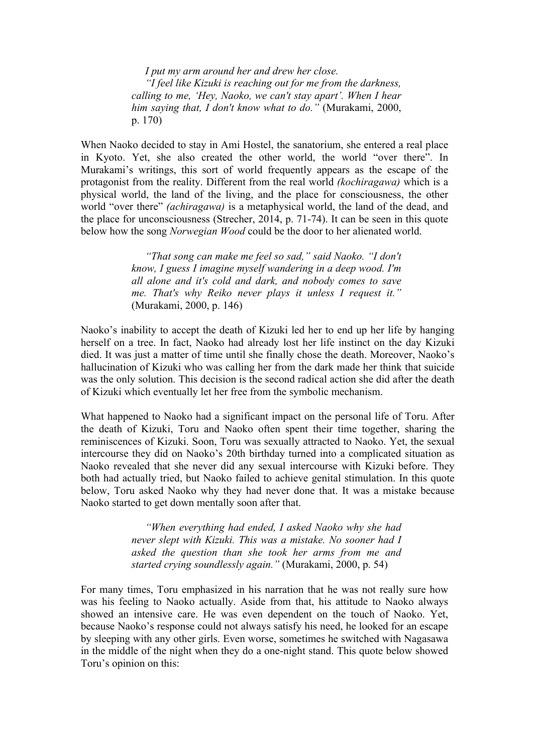*I put my arm around her and drew her close. "I feel like Kizuki is reaching out for me from the darkness, calling to me, 'Hey, Naoko, we can't stay apart'. When I hear him saying that, I don't know what to do."* (Murakami, 2000, p. 170)

When Naoko decided to stay in Ami Hostel, the sanatorium, she entered a real place in Kyoto. Yet, she also created the other world, the world "over there". In Murakami's writings, this sort of world frequently appears as the escape of the protagonist from the reality. Different from the real world *(kochiragawa)* which is a physical world, the land of the living, and the place for consciousness, the other world "over there" *(achiragawa)* is a metaphysical world, the land of the dead, and the place for unconsciousness (Strecher, 2014, p. 71-74). It can be seen in this quote below how the song *Norwegian Wood* could be the door to her alienated world.

> *"That song can make me feel so sad," said Naoko. "I don't know, I guess I imagine myself wandering in a deep wood. I'm all alone and it's cold and dark, and nobody comes to save me. That's why Reiko never plays it unless I request it."* (Murakami, 2000, p. 146)

Naoko's inability to accept the death of Kizuki led her to end up her life by hanging herself on a tree. In fact, Naoko had already lost her life instinct on the day Kizuki died. It was just a matter of time until she finally chose the death. Moreover, Naoko's hallucination of Kizuki who was calling her from the dark made her think that suicide was the only solution. This decision is the second radical action she did after the death of Kizuki which eventually let her free from the symbolic mechanism.

What happened to Naoko had a significant impact on the personal life of Toru. After the death of Kizuki, Toru and Naoko often spent their time together, sharing the reminiscences of Kizuki. Soon, Toru was sexually attracted to Naoko. Yet, the sexual intercourse they did on Naoko's 20th birthday turned into a complicated situation as Naoko revealed that she never did any sexual intercourse with Kizuki before. They both had actually tried, but Naoko failed to achieve genital stimulation. In this quote below, Toru asked Naoko why they had never done that. It was a mistake because Naoko started to get down mentally soon after that.

> *"When everything had ended, I asked Naoko why she had never slept with Kizuki. This was a mistake. No sooner had I asked the question than she took her arms from me and started crying soundlessly again."* (Murakami, 2000, p. 54)

For many times, Toru emphasized in his narration that he was not really sure how was his feeling to Naoko actually. Aside from that, his attitude to Naoko always showed an intensive care. He was even dependent on the touch of Naoko. Yet, because Naoko's response could not always satisfy his need, he looked for an escape by sleeping with any other girls. Even worse, sometimes he switched with Nagasawa in the middle of the night when they do a one-night stand. This quote below showed Toru's opinion on this: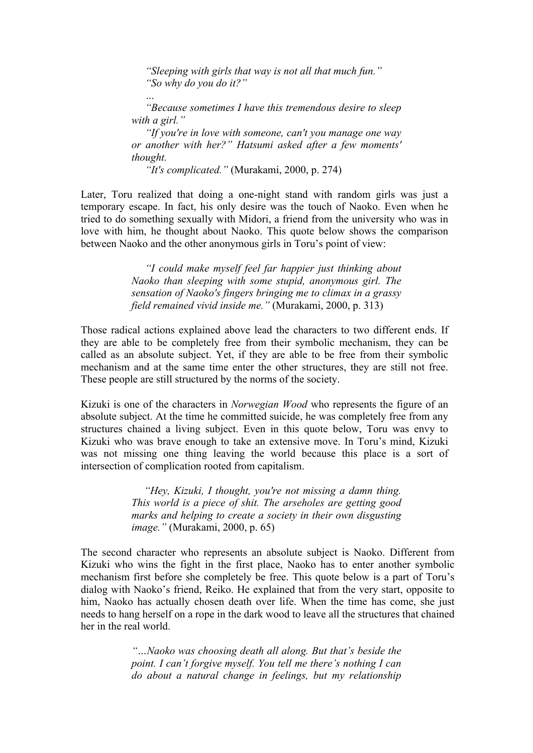*"Sleeping with girls that way is not all that much fun." "So why do you do it?"*

*"Because sometimes I have this tremendous desire to sleep with a girl."*

*"If you're in love with someone, can't you manage one way or another with her?" Hatsumi asked after a few moments' thought.*

*"It's complicated."* (Murakami, 2000, p. 274)

*…*

Later, Toru realized that doing a one-night stand with random girls was just a temporary escape. In fact, his only desire was the touch of Naoko. Even when he tried to do something sexually with Midori, a friend from the university who was in love with him, he thought about Naoko. This quote below shows the comparison between Naoko and the other anonymous girls in Toru's point of view:

> *"I could make myself feel far happier just thinking about Naoko than sleeping with some stupid, anonymous girl. The sensation of Naoko's fingers bringing me to climax in a grassy field remained vivid inside me."* (Murakami, 2000, p. 313)

Those radical actions explained above lead the characters to two different ends. If they are able to be completely free from their symbolic mechanism, they can be called as an absolute subject. Yet, if they are able to be free from their symbolic mechanism and at the same time enter the other structures, they are still not free. These people are still structured by the norms of the society.

Kizuki is one of the characters in *Norwegian Wood* who represents the figure of an absolute subject. At the time he committed suicide, he was completely free from any structures chained a living subject. Even in this quote below, Toru was envy to Kizuki who was brave enough to take an extensive move. In Toru's mind, Kizuki was not missing one thing leaving the world because this place is a sort of intersection of complication rooted from capitalism.

> *"Hey, Kizuki, I thought, you're not missing a damn thing. This world is a piece of shit. The arseholes are getting good marks and helping to create a society in their own disgusting image."* (Murakami, 2000, p. 65)

The second character who represents an absolute subject is Naoko. Different from Kizuki who wins the fight in the first place, Naoko has to enter another symbolic mechanism first before she completely be free. This quote below is a part of Toru's dialog with Naoko's friend, Reiko. He explained that from the very start, opposite to him, Naoko has actually chosen death over life. When the time has come, she just needs to hang herself on a rope in the dark wood to leave all the structures that chained her in the real world.

> *"…Naoko was choosing death all along. But that's beside the point. I can't forgive myself. You tell me there's nothing I can do about a natural change in feelings, but my relationship*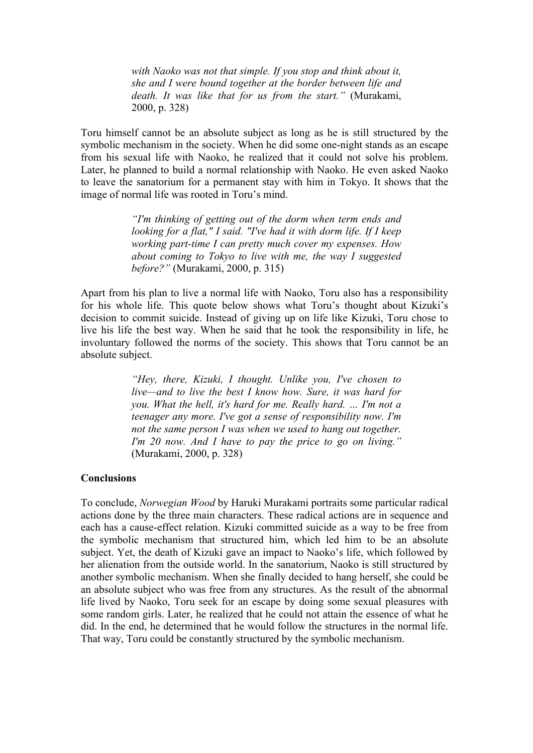*with Naoko was not that simple. If you stop and think about it, she and I were bound together at the border between life and death. It was like that for us from the start."* (Murakami, 2000, p. 328)

Toru himself cannot be an absolute subject as long as he is still structured by the symbolic mechanism in the society. When he did some one-night stands as an escape from his sexual life with Naoko, he realized that it could not solve his problem. Later, he planned to build a normal relationship with Naoko. He even asked Naoko to leave the sanatorium for a permanent stay with him in Tokyo. It shows that the image of normal life was rooted in Toru's mind.

> *"I'm thinking of getting out of the dorm when term ends and looking for a flat," I said. "I've had it with dorm life. If I keep working part-time I can pretty much cover my expenses. How about coming to Tokyo to live with me, the way I suggested before?"* (Murakami, 2000, p. 315)

Apart from his plan to live a normal life with Naoko, Toru also has a responsibility for his whole life. This quote below shows what Toru's thought about Kizuki's decision to commit suicide. Instead of giving up on life like Kizuki, Toru chose to live his life the best way. When he said that he took the responsibility in life, he involuntary followed the norms of the society. This shows that Toru cannot be an absolute subject.

> *"Hey, there, Kizuki, I thought. Unlike you, I've chosen to live—and to live the best I know how. Sure, it was hard for you. What the hell, it's hard for me. Really hard. … I'm not a teenager any more. I've got a sense of responsibility now. I'm not the same person I was when we used to hang out together. I'm 20 now. And I have to pay the price to go on living."*  (Murakami, 2000, p. 328)

#### **Conclusions**

To conclude, *Norwegian Wood* by Haruki Murakami portraits some particular radical actions done by the three main characters. These radical actions are in sequence and each has a cause-effect relation. Kizuki committed suicide as a way to be free from the symbolic mechanism that structured him, which led him to be an absolute subject. Yet, the death of Kizuki gave an impact to Naoko's life, which followed by her alienation from the outside world. In the sanatorium, Naoko is still structured by another symbolic mechanism. When she finally decided to hang herself, she could be an absolute subject who was free from any structures. As the result of the abnormal life lived by Naoko, Toru seek for an escape by doing some sexual pleasures with some random girls. Later, he realized that he could not attain the essence of what he did. In the end, he determined that he would follow the structures in the normal life. That way, Toru could be constantly structured by the symbolic mechanism.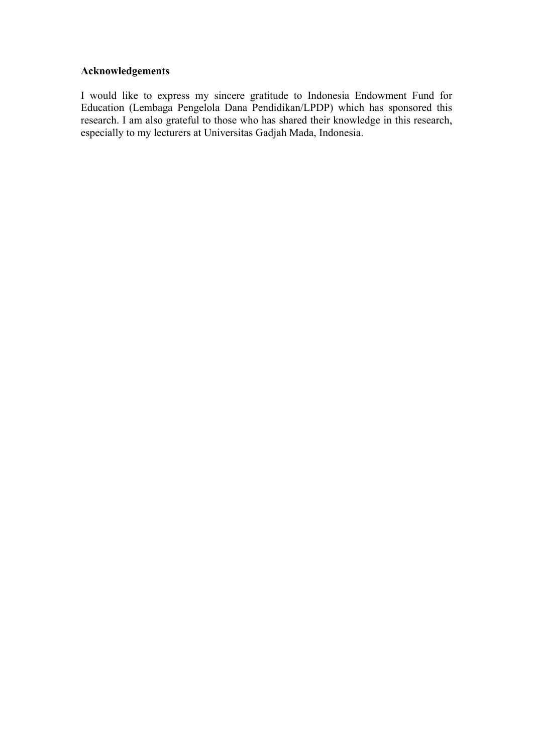# **Acknowledgements**

I would like to express my sincere gratitude to Indonesia Endowment Fund for Education (Lembaga Pengelola Dana Pendidikan/LPDP) which has sponsored this research. I am also grateful to those who has shared their knowledge in this research, especially to my lecturers at Universitas Gadjah Mada, Indonesia.